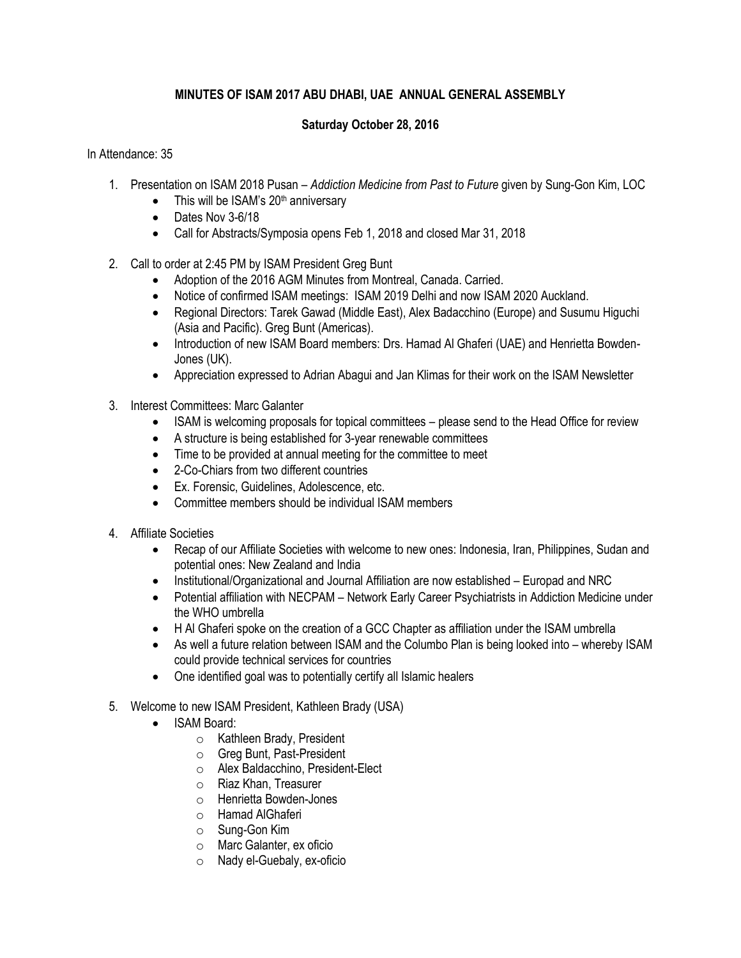## **MINUTES OF ISAM 2017 ABU DHABI, UAE ANNUAL GENERAL ASSEMBLY**

## **Saturday October 28, 2016**

## In Attendance: 35

- 1. Presentation on ISAM 2018 Pusan *Addiction Medicine from Past to Future* given by Sung-Gon Kim, LOC
	- $\bullet$  This will be ISAM's 20<sup>th</sup> anniversary
	- Dates Nov 3-6/18
	- Call for Abstracts/Symposia opens Feb 1, 2018 and closed Mar 31, 2018
- 2. Call to order at 2:45 PM by ISAM President Greg Bunt
	- Adoption of the 2016 AGM Minutes from Montreal, Canada. Carried.
	- Notice of confirmed ISAM meetings: ISAM 2019 Delhi and now ISAM 2020 Auckland.
	- Regional Directors: Tarek Gawad (Middle East), Alex Badacchino (Europe) and Susumu Higuchi (Asia and Pacific). Greg Bunt (Americas).
	- Introduction of new ISAM Board members: Drs. Hamad Al Ghaferi (UAE) and Henrietta Bowden-Jones (UK).
	- Appreciation expressed to Adrian Abagui and Jan Klimas for their work on the ISAM Newsletter
- 3. Interest Committees: Marc Galanter
	- ISAM is welcoming proposals for topical committees please send to the Head Office for review
	- A structure is being established for 3-year renewable committees
	- Time to be provided at annual meeting for the committee to meet
	- 2-Co-Chiars from two different countries
	- Ex. Forensic, Guidelines, Adolescence, etc.
	- Committee members should be individual ISAM members
- 4. Affiliate Societies
	- Recap of our Affiliate Societies with welcome to new ones: Indonesia, Iran, Philippines, Sudan and potential ones: New Zealand and India
	- Institutional/Organizational and Journal Affiliation are now established Europad and NRC
	- Potential affiliation with NECPAM Network Early Career Psychiatrists in Addiction Medicine under the WHO umbrella
	- H Al Ghaferi spoke on the creation of a GCC Chapter as affiliation under the ISAM umbrella
	- As well a future relation between ISAM and the Columbo Plan is being looked into whereby ISAM could provide technical services for countries
	- One identified goal was to potentially certify all Islamic healers
- 5. Welcome to new ISAM President, Kathleen Brady (USA)
	- ISAM Board:
		- o Kathleen Brady, President
		- o Greg Bunt, Past-President
		- o Alex Baldacchino, President-Elect
		- o Riaz Khan, Treasurer
		- o Henrietta Bowden-Jones
		- o Hamad AlGhaferi
		- o Sung-Gon Kim
		- o Marc Galanter, ex oficio
		- o Nady el-Guebaly, ex-oficio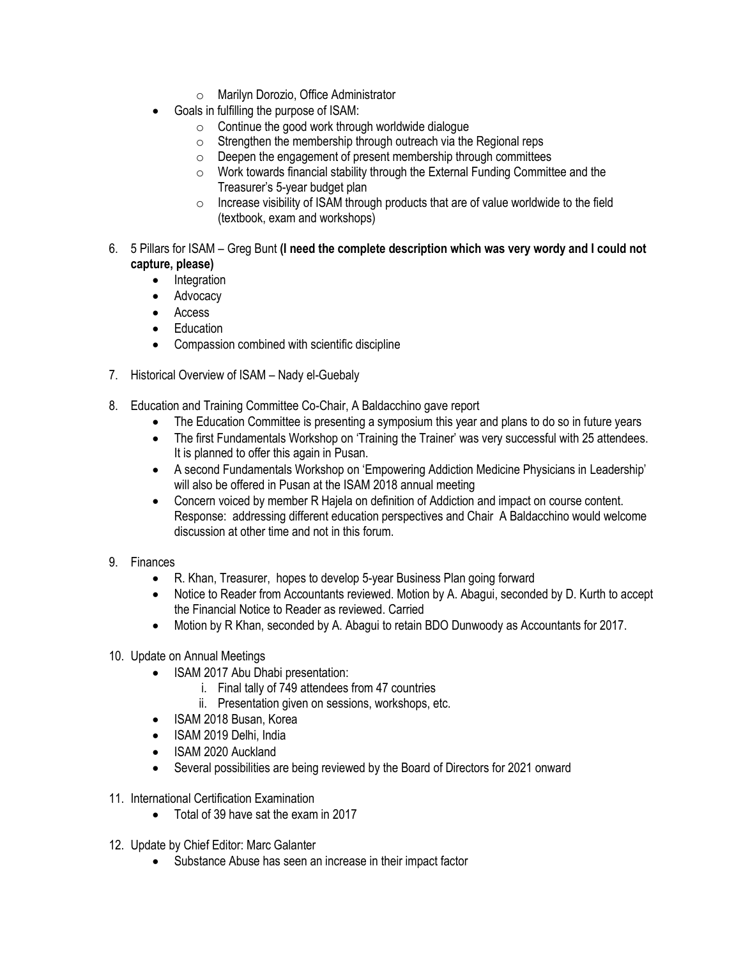- o Marilyn Dorozio, Office Administrator
- Goals in fulfilling the purpose of ISAM:
	- $\circ$  Continue the good work through worldwide dialogue
	- $\circ$  Strengthen the membership through outreach via the Regional reps
	- o Deepen the engagement of present membership through committees
	- o Work towards financial stability through the External Funding Committee and the Treasurer's 5-year budget plan
	- $\circ$  Increase visibility of ISAM through products that are of value worldwide to the field (textbook, exam and workshops)
- 6. 5 Pillars for ISAM Greg Bunt **(I need the complete description which was very wordy and I could not capture, please)**
	- Integration
	- Advocacy
	- Access
	- Education
	- Compassion combined with scientific discipline
- 7. Historical Overview of ISAM Nady el-Guebaly
- 8. Education and Training Committee Co-Chair, A Baldacchino gave report
	- The Education Committee is presenting a symposium this year and plans to do so in future years
	- The first Fundamentals Workshop on 'Training the Trainer' was very successful with 25 attendees. It is planned to offer this again in Pusan.
	- A second Fundamentals Workshop on 'Empowering Addiction Medicine Physicians in Leadership' will also be offered in Pusan at the ISAM 2018 annual meeting
	- Concern voiced by member R Hajela on definition of Addiction and impact on course content. Response: addressing different education perspectives and Chair A Baldacchino would welcome discussion at other time and not in this forum.
- 9. Finances
	- R. Khan, Treasurer, hopes to develop 5-year Business Plan going forward
	- Notice to Reader from Accountants reviewed. Motion by A. Abagui, seconded by D. Kurth to accept the Financial Notice to Reader as reviewed. Carried
	- Motion by R Khan, seconded by A. Abagui to retain BDO Dunwoody as Accountants for 2017.
- 10. Update on Annual Meetings
	- ISAM 2017 Abu Dhabi presentation:
		- i. Final tally of 749 attendees from 47 countries
		- ii. Presentation given on sessions, workshops, etc.
	- ISAM 2018 Busan, Korea
	- ISAM 2019 Delhi, India
	- ISAM 2020 Auckland
	- Several possibilities are being reviewed by the Board of Directors for 2021 onward
- 11. International Certification Examination
	- Total of 39 have sat the exam in 2017
- 12. Update by Chief Editor: Marc Galanter
	- Substance Abuse has seen an increase in their impact factor